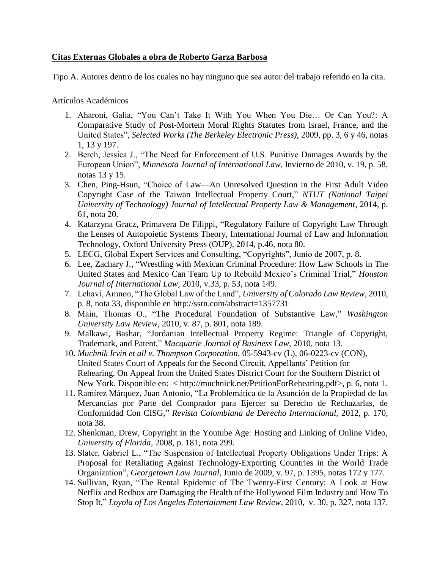## **Citas Externas Globales a obra de Roberto Garza Barbosa**

Tipo A. Autores dentro de los cuales no hay ninguno que sea autor del trabajo referido en la cita.

Artículos Académicos

- 1. Aharoni, Galia, "You Can't Take It With You When You Die… Or Can You?: A Comparative Study of Post-Mortem Moral Rights Statutes from Israel, France, and the United States", *Selected Works (The Berkeley Electronic Press)*, 2009, pp. 3, 6 y 46, notas 1, 13 y 197.
- 2. Berch, Jessica J., "The Need for Enforcement of U.S. Punitive Damages Awards by the European Union", *Minnesota Journal of International Law*, Invierno de 2010, v. 19, p. 58, notas 13 y 15.
- 3. Chen, Ping-Hsun, "Choice of Law—An Unresolved Question in the First Adult Video Copyright Case of the Taiwan Intellectual Property Court," *NTUT (National Taipei University of Technology) Journal of Intellectual Property Law & Management*, 2014, p. 61, nota 20.
- 4. Katarzyna Gracz, Primavera De Filippi, "Regulatory Failure of Copyright Law Through the Lenses of Autopoietic Systems Theory, International Journal of Law and Information Technology, Oxford University Press (OUP), 2014, p.46, nota 80.
- 5. LECG, Global Expert Services and Consulting, "Copyrights", Junio de 2007, p. 8.
- 6. Lee, Zachary J*.*, "Wrestling with Mexican Criminal Procedure: How Law Schools in The United States and Mexico Can Team Up to Rebuild Mexico's Criminal Trial," *Houston Journal of International Law,* 2010, v.33, p. 53, nota 149.
- 7. Lehavi, Amnon, "The Global Law of the Land", *University of Colorado Law Review*, 2010, p. 8, nota 33, disponible en http://ssrn.com/abstract=1357731
- 8. Main, Thomas O., "The Procedural Foundation of Substantive Law," *Washington University Law Review*, 2010, v. 87, p. 801, nota 189.
- 9. Malkawi, Bashar, "Jordanian Intellectual Property Regime: Triangle of Copyright, Trademark, and Patent," *Macquarie Journal of Business Law*, 2010, nota 13.
- 10. *Muchnik Irvin et all v. Thompson Corporation*, 05-5943-cv (L), 06-0223-cv (CON), United States Court of Appeals for the Second Circuit, Appellants' Petition for Rehearing. On Appeal from the United States District Court for the Southern District of New York. Disponible en: < http://muchnick.net/PetitionForRehearing.pdf>, p. 6, nota 1.
- 11. Ramírez Márquez, Juan Antonio, "La Problemática de la Asunción de la Propiedad de las Mercancías por Parte del Comprador para Ejercer su Derecho de Rechazarlas, de Conformidad Con CISG," *Revista Colombiana de Derecho Internacional,* 2012, p. 170, nota 38.
- 12. Shenkman, Drew, Copyright in the Youtube Age: Hosting and Linking of Online Video, *University of Florida*, 2008, p. 181, nota 299.
- 13. Slater, Gabriel L., "The Suspension of Intellectual Property Obligations Under Trips: A Proposal for Retaliating Against Technology-Exporting Countries in the World Trade Organization", *Georgetown Law Journal*, Junio de 2009, v. 97, p. 1395, notas 172 y 177.
- 14. Sullivan, Ryan, "The Rental Epidemic of The Twenty-First Century: A Look at How Netflix and Redbox are Damaging the Health of the Hollywood Film Industry and How To Stop It," *Loyola of Los Angeles Entertainment Law Review*, 2010, v. 30, p. 327, nota 137.